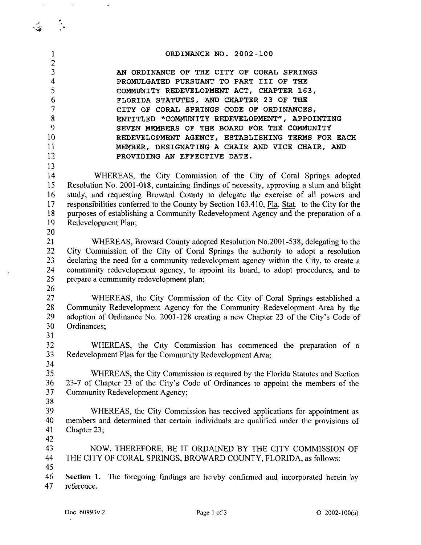| 1              | ORDINANCE NO. 2002-100                                                                                               |  |  |  |  |  |
|----------------|----------------------------------------------------------------------------------------------------------------------|--|--|--|--|--|
| $\overline{c}$ |                                                                                                                      |  |  |  |  |  |
| 3              | AN ORDINANCE OF THE CITY OF CORAL SPRINGS                                                                            |  |  |  |  |  |
| 4              | PROMULGATED PURSUANT TO PART III OF THE                                                                              |  |  |  |  |  |
| 5              | COMMUNITY REDEVELOPMENT ACT, CHAPTER 163,                                                                            |  |  |  |  |  |
| 6              | FLORIDA STATUTES, AND CHAPTER 23 OF THE                                                                              |  |  |  |  |  |
| $\overline{7}$ | CITY OF CORAL SPRINGS CODE OF ORDINANCES,                                                                            |  |  |  |  |  |
| 8<br>9         | ENTITLED "COMMUNITY REDEVELOPMENT", APPOINTING                                                                       |  |  |  |  |  |
| 10             | SEVEN MEMBERS OF THE BOARD FOR THE COMMUNITY                                                                         |  |  |  |  |  |
| 11             | REDEVELOPMENT AGENCY, ESTABLISHING TERMS FOR EACH                                                                    |  |  |  |  |  |
| 12             | MEMBER, DESIGNATING A CHAIR AND VICE CHAIR, AND<br>PROVIDING AN EFFECTIVE DATE.                                      |  |  |  |  |  |
| 13             |                                                                                                                      |  |  |  |  |  |
| 14             | WHEREAS, the City Commission of the City of Coral Springs adopted                                                    |  |  |  |  |  |
| 15             | Resolution No. 2001-018, containing findings of necessity, approving a slum and blight                               |  |  |  |  |  |
| 16             | study, and requesting Broward County to delegate the exercise of all powers and                                      |  |  |  |  |  |
| 17             | responsibilities conferred to the County by Section 163.410, Fla. Stat. to the City for the                          |  |  |  |  |  |
| 18             | purposes of establishing a Community Redevelopment Agency and the preparation of a                                   |  |  |  |  |  |
| 19             | Redevelopment Plan;                                                                                                  |  |  |  |  |  |
| 20             |                                                                                                                      |  |  |  |  |  |
| 21             | WHEREAS, Broward County adopted Resolution No.2001-538, delegating to the                                            |  |  |  |  |  |
| 22             | City Commission of the City of Coral Springs the authority to adopt a resolution                                     |  |  |  |  |  |
| 23             | declaring the need for a community redevelopment agency within the City, to create a                                 |  |  |  |  |  |
| 24             | community redevelopment agency, to appoint its board, to adopt procedures, and to                                    |  |  |  |  |  |
| 25             | prepare a community redevelopment plan;                                                                              |  |  |  |  |  |
| 26             |                                                                                                                      |  |  |  |  |  |
| 27             | WHEREAS, the City Commission of the City of Coral Springs established a                                              |  |  |  |  |  |
| 28             | Community Redevelopment Agency for the Community Redevelopment Area by the                                           |  |  |  |  |  |
| 29             | adoption of Ordinance No. 2001-128 creating a new Chapter 23 of the City's Code of                                   |  |  |  |  |  |
| 30             | Ordinances;                                                                                                          |  |  |  |  |  |
| 31             |                                                                                                                      |  |  |  |  |  |
| 32             | WHEREAS, the City Commission has commenced the preparation of a                                                      |  |  |  |  |  |
| 33             | Redevelopment Plan for the Community Redevelopment Area;                                                             |  |  |  |  |  |
| 34             |                                                                                                                      |  |  |  |  |  |
| 35<br>36       | WHEREAS, the City Commission is required by the Florida Statutes and Section                                         |  |  |  |  |  |
| 37             | 23-7 of Chapter 23 of the City's Code of Ordinances to appoint the members of the<br>Community Redevelopment Agency; |  |  |  |  |  |
| 38             |                                                                                                                      |  |  |  |  |  |
| 39             | WHEREAS, the City Commission has received applications for appointment as                                            |  |  |  |  |  |
| 40             | members and determined that certain individuals are qualified under the provisions of                                |  |  |  |  |  |
| 41             | Chapter 23;                                                                                                          |  |  |  |  |  |
| 42             |                                                                                                                      |  |  |  |  |  |
| 43             | NOW, THEREFORE, BE IT ORDAINED BY THE CITY COMMISSION OF                                                             |  |  |  |  |  |
| 44             | THE CITY OF CORAL SPRINGS, BROWARD COUNTY, FLORIDA, as follows:                                                      |  |  |  |  |  |
| 45             |                                                                                                                      |  |  |  |  |  |
| 46             | <b>Section 1.</b> The foregoing findings are hereby confirmed and incorporated herein by                             |  |  |  |  |  |
| 47             | reference.                                                                                                           |  |  |  |  |  |
|                |                                                                                                                      |  |  |  |  |  |

 $\mathcal{L}$ -4·

 $\sim$   $\sim$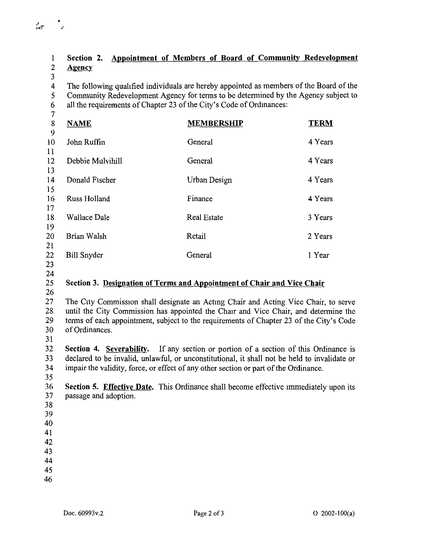## **Section 2. Appointment of Members of Board of Community Redevelopment Agency**  The following qualified individuals are hereby appointed as members of the Board of the Community Redevelopment Agency for terms to be determined by the Agency subject to all the requirements of Chapter 23 of the City's Code of Ordinances: **NEMBERSHIP TERM** John Ruffin General 4 Years Debbie Mulvihill General 4 Years Donald Fischer Urban Design 4 Years Russ Holland Finance **4** Years Wallace Dale **Real Estate** 3 Years **Real Estate** 3 Years Brian Walsh **Retail** Retail 2 Years 2 Years Bill Snyder General 1 Year 1 Year **Section 3. Designation of Terms and Appointment of Chair and Vice Chair**  The City Commission shall designate an Acting Chair and Acting Vice Chair, to serve until the City Commission has appointed the Chair and Vice Chair, and determine the terms of each appointment, subject to the requirements of Chapter 23 of the City's Code of Ordinances. **Section 4. Severability.** If any section or portion of a section of this Ordinance is declared to be invalid, unlawful, or unconstitutional, it shall not be held to invalidate or impair the validity, force, or effect of any other section or part of the Ordinance. **Section 5. Effective Date.** This Ordinance shall become effective immediately upon its passage and adoption.

 $\frac{1}{2}$